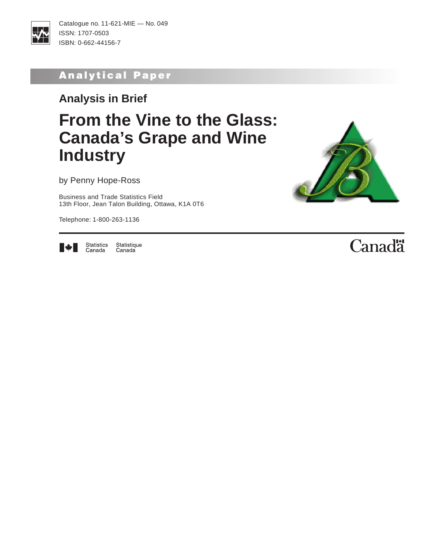

Catalogue no. 11-621-MIE — No. 049 ISSN: 1707-0503 ISBN: 0-662-44156-7

# Analytical Paper

**Analysis in Brief**

# **From the Vine to the Glass: Canada's Grape and Wine Industry**

by Penny Hope-Ross

Business and Trade Statistics Field 13th Floor, Jean Talon Building, Ottawa, K1A 0T6

Telephone: 1-800-263-1136





Statistics<br>Canada Statistique Canada

# Canadä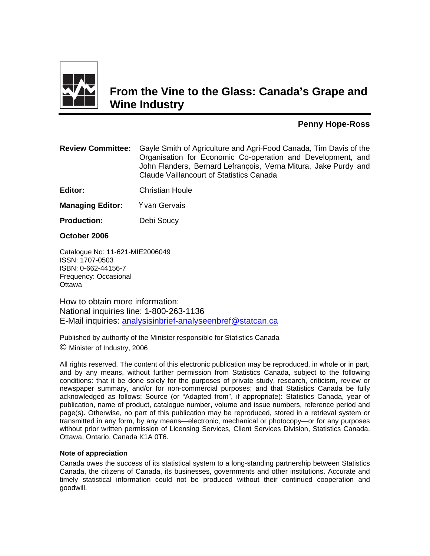

# **From the Vine to the Glass: Canada's Grape and Wine Industry**

#### **Penny Hope-Ross**

| <b>Review Committee:</b> Gayle Smith of Agriculture and Agri-Food Canada, Tim Davis of the |
|--------------------------------------------------------------------------------------------|
| Organisation for Economic Co-operation and Development, and                                |
| John Flanders, Bernard Lefrançois, Verna Mitura, Jake Purdy and                            |
| Claude Vaillancourt of Statistics Canada                                                   |

**Editor:** Christian Houle

**Managing Editor:** Yvan Gervais

**Production:** Debi Soucy

**October 2006** 

Catalogue No: 11-621-MIE2006049 ISSN: 1707-0503 ISBN: 0-662-44156-7 Frequency: Occasional **Ottawa** 

How to obtain more information: National inquiries line: 1-800-263-1136 E-Mail inquiries: analysisinbrief-analyseenbref@statcan.ca

Published by authority of the Minister responsible for Statistics Canada © Minister of Industry, 2006

All rights reserved. The content of this electronic publication may be reproduced, in whole or in part, and by any means, without further permission from Statistics Canada, subject to the following conditions: that it be done solely for the purposes of private study, research, criticism, review or newspaper summary, and/or for non-commercial purposes; and that Statistics Canada be fully acknowledged as follows: Source (or "Adapted from", if appropriate): Statistics Canada, year of publication, name of product, catalogue number, volume and issue numbers, reference period and page(s). Otherwise, no part of this publication may be reproduced, stored in a retrieval system or transmitted in any form, by any means—electronic, mechanical or photocopy—or for any purposes without prior written permission of Licensing Services, Client Services Division, Statistics Canada, Ottawa, Ontario, Canada K1A 0T6.

#### **Note of appreciation**

Canada owes the success of its statistical system to a long-standing partnership between Statistics Canada, the citizens of Canada, its businesses, governments and other institutions. Accurate and timely statistical information could not be produced without their continued cooperation and goodwill.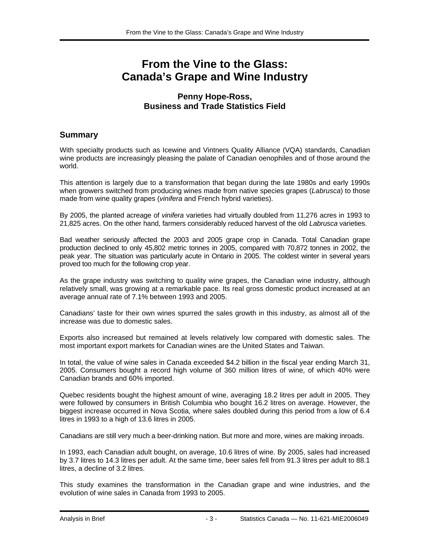## **From the Vine to the Glass: Canada's Grape and Wine Industry**

#### **Penny Hope-Ross, Business and Trade Statistics Field**

#### **Summary**

With specialty products such as Icewine and Vintners Quality Alliance (VQA) standards, Canadian wine products are increasingly pleasing the palate of Canadian oenophiles and of those around the world.

This attention is largely due to a transformation that began during the late 1980s and early 1990s when growers switched from producing wines made from native species grapes (*Labrusca*) to those made from wine quality grapes (*vinifera* and French hybrid varieties).

By 2005, the planted acreage of *vinifera* varieties had virtually doubled from 11,276 acres in 1993 to 21,825 acres. On the other hand, farmers considerably reduced harvest of the old *Labrusca* varieties.

Bad weather seriously affected the 2003 and 2005 grape crop in Canada. Total Canadian grape production declined to only 45,802 metric tonnes in 2005, compared with 70,872 tonnes in 2002, the peak year. The situation was particularly acute in Ontario in 2005. The coldest winter in several years proved too much for the following crop year.

As the grape industry was switching to quality wine grapes, the Canadian wine industry, although relatively small, was growing at a remarkable pace. Its real gross domestic product increased at an average annual rate of 7.1% between 1993 and 2005.

Canadians' taste for their own wines spurred the sales growth in this industry, as almost all of the increase was due to domestic sales.

Exports also increased but remained at levels relatively low compared with domestic sales. The most important export markets for Canadian wines are the United States and Taiwan.

In total, the value of wine sales in Canada exceeded \$4.2 billion in the fiscal year ending March 31, 2005. Consumers bought a record high volume of 360 million litres of wine, of which 40% were Canadian brands and 60% imported.

Quebec residents bought the highest amount of wine, averaging 18.2 litres per adult in 2005. They were followed by consumers in British Columbia who bought 16.2 litres on average. However, the biggest increase occurred in Nova Scotia, where sales doubled during this period from a low of 6.4 litres in 1993 to a high of 13.6 litres in 2005.

Canadians are still very much a beer-drinking nation. But more and more, wines are making inroads.

In 1993, each Canadian adult bought, on average, 10.6 litres of wine. By 2005, sales had increased by 3.7 litres to 14.3 litres per adult. At the same time, beer sales fell from 91.3 litres per adult to 88.1 litres, a decline of 3.2 litres.

This study examines the transformation in the Canadian grape and wine industries, and the evolution of wine sales in Canada from 1993 to 2005.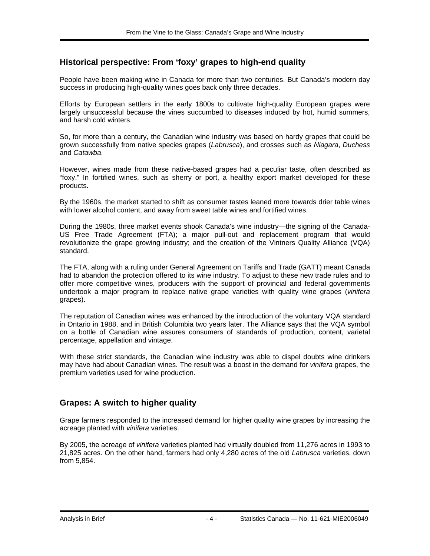### **Historical perspective: From 'foxy' grapes to high-end quality**

People have been making wine in Canada for more than two centuries. But Canada's modern day success in producing high-quality wines goes back only three decades.

Efforts by European settlers in the early 1800s to cultivate high-quality European grapes were largely unsuccessful because the vines succumbed to diseases induced by hot, humid summers, and harsh cold winters.

So, for more than a century, the Canadian wine industry was based on hardy grapes that could be grown successfully from native species grapes (*Labrusca*), and crosses such as *Niagara*, *Duchess* and *Catawba*.

However, wines made from these native-based grapes had a peculiar taste, often described as "foxy." In fortified wines, such as sherry or port, a healthy export market developed for these products.

By the 1960s, the market started to shift as consumer tastes leaned more towards drier table wines with lower alcohol content, and away from sweet table wines and fortified wines.

During the 1980s, three market events shook Canada's wine industry—the signing of the Canada-US Free Trade Agreement (FTA); a major pull-out and replacement program that would revolutionize the grape growing industry; and the creation of the Vintners Quality Alliance (VQA) standard.

The FTA, along with a ruling under General Agreement on Tariffs and Trade (GATT) meant Canada had to abandon the protection offered to its wine industry. To adjust to these new trade rules and to offer more competitive wines, producers with the support of provincial and federal governments undertook a major program to replace native grape varieties with quality wine grapes (*vinifera* grapes).

The reputation of Canadian wines was enhanced by the introduction of the voluntary VQA standard in Ontario in 1988, and in British Columbia two years later. The Alliance says that the VQA symbol on a bottle of Canadian wine assures consumers of standards of production, content, varietal percentage, appellation and vintage.

With these strict standards, the Canadian wine industry was able to dispel doubts wine drinkers may have had about Canadian wines. The result was a boost in the demand for *vinifera* grapes, the premium varieties used for wine production.

### **Grapes: A switch to higher quality**

Grape farmers responded to the increased demand for higher quality wine grapes by increasing the acreage planted with *vinifera* varieties.

By 2005, the acreage of *vinifera* varieties planted had virtually doubled from 11,276 acres in 1993 to 21,825 acres. On the other hand, farmers had only 4,280 acres of the old *Labrusca* varieties, down from 5,854.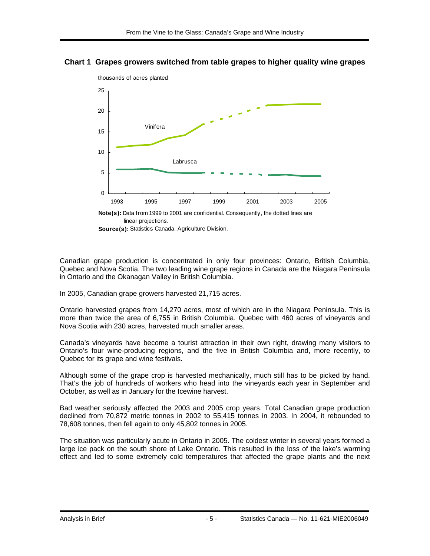#### **Chart 1 Grapes growers switched from table grapes to higher quality wine grapes**



thousands of acres planted

**Source(s):** Statistics Canada, Agriculture Division.

Canadian grape production is concentrated in only four provinces: Ontario, British Columbia, Quebec and Nova Scotia. The two leading wine grape regions in Canada are the Niagara Peninsula in Ontario and the Okanagan Valley in British Columbia.

In 2005, Canadian grape growers harvested 21,715 acres.

Ontario harvested grapes from 14,270 acres, most of which are in the Niagara Peninsula. This is more than twice the area of 6,755 in British Columbia. Quebec with 460 acres of vineyards and Nova Scotia with 230 acres, harvested much smaller areas.

Canada's vineyards have become a tourist attraction in their own right, drawing many visitors to Ontario's four wine-producing regions, and the five in British Columbia and, more recently, to Quebec for its grape and wine festivals.

Although some of the grape crop is harvested mechanically, much still has to be picked by hand. That's the job of hundreds of workers who head into the vineyards each year in September and October, as well as in January for the Icewine harvest.

Bad weather seriously affected the 2003 and 2005 crop years. Total Canadian grape production declined from 70,872 metric tonnes in 2002 to 55,415 tonnes in 2003. In 2004, it rebounded to 78,608 tonnes, then fell again to only 45,802 tonnes in 2005.

The situation was particularly acute in Ontario in 2005. The coldest winter in several years formed a large ice pack on the south shore of Lake Ontario. This resulted in the loss of the lake's warming effect and led to some extremely cold temperatures that affected the grape plants and the next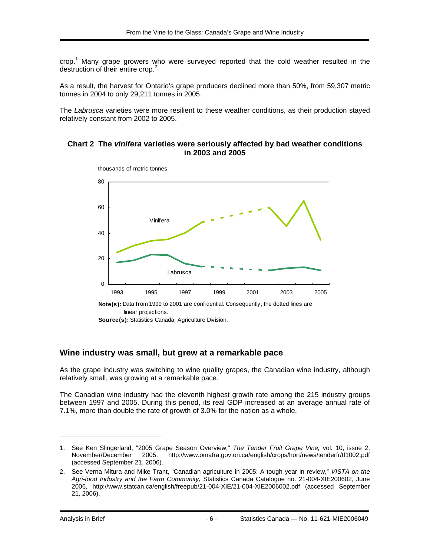crop.<sup>1</sup> Many grape growers who were surveyed reported that the cold weather resulted in the destruction of their entire crop.<sup>2</sup>

As a result, the harvest for Ontario's grape producers declined more than 50%, from 59,307 metric tonnes in 2004 to only 29,211 tonnes in 2005.

The *Labrusca* varieties were more resilient to these weather conditions, as their production stayed relatively constant from 2002 to 2005.

#### **Chart 2 The** *vinifera* **varieties were seriously affected by bad weather conditions in 2003 and 2005**



**Source(s):** Statistics Canada, Agriculture Division.

#### **Wine industry was small, but grew at a remarkable pace**

As the grape industry was switching to wine quality grapes, the Canadian wine industry, although relatively small, was growing at a remarkable pace.

The Canadian wine industry had the eleventh highest growth rate among the 215 industry groups between 1997 and 2005. During this period, its real GDP increased at an average annual rate of 7.1%, more than double the rate of growth of 3.0% for the nation as a whole.

-

<sup>1.</sup> See Ken Slingerland, "2005 Grape Season Overview," *The Tender Fruit Grape Vine,* vol. 10, issue 2, 2005, http://www.omafra.gov.on.ca/english/crops/hort/news/tenderfr/tf1002.pdf (accessed September 21, 2006).

<sup>2.</sup> See Verna Mitura and Mike Trant, "Canadian agriculture in 2005: A tough year in review," *VISTA on the Agri-food Industry and the Farm Community,* Statistics Canada Catalogue no. 21-004-XIE200602, June 2006, http://www.statcan.ca/english/freepub/21-004-XIE/21-004-XIE2006002.pdf (accessed September 21, 2006).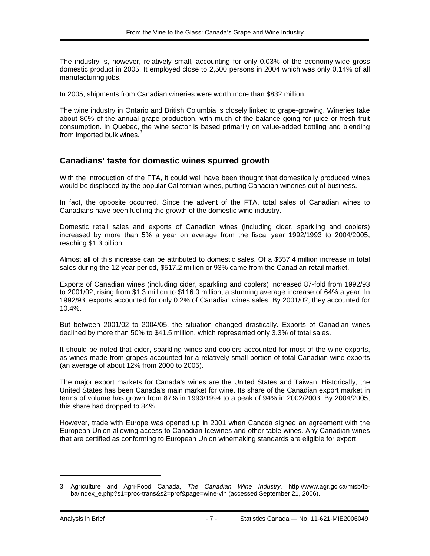The industry is, however, relatively small, accounting for only 0.03% of the economy-wide gross domestic product in 2005. It employed close to 2,500 persons in 2004 which was only 0.14% of all manufacturing jobs.

In 2005, shipments from Canadian wineries were worth more than \$832 million.

The wine industry in Ontario and British Columbia is closely linked to grape-growing. Wineries take about 80% of the annual grape production, with much of the balance going for juice or fresh fruit consumption. In Quebec, the wine sector is based primarily on value-added bottling and blending from imported bulk wines.<sup>3</sup>

#### **Canadians' taste for domestic wines spurred growth**

With the introduction of the FTA, it could well have been thought that domestically produced wines would be displaced by the popular Californian wines, putting Canadian wineries out of business.

In fact, the opposite occurred. Since the advent of the FTA, total sales of Canadian wines to Canadians have been fuelling the growth of the domestic wine industry.

Domestic retail sales and exports of Canadian wines (including cider, sparkling and coolers) increased by more than 5% a year on average from the fiscal year 1992/1993 to 2004/2005, reaching \$1.3 billion.

Almost all of this increase can be attributed to domestic sales. Of a \$557.4 million increase in total sales during the 12-year period, \$517.2 million or 93% came from the Canadian retail market.

Exports of Canadian wines (including cider, sparkling and coolers) increased 87-fold from 1992/93 to 2001/02, rising from \$1.3 million to \$116.0 million, a stunning average increase of 64% a year. In 1992/93, exports accounted for only 0.2% of Canadian wines sales. By 2001/02, they accounted for 10.4%.

But between 2001/02 to 2004/05, the situation changed drastically. Exports of Canadian wines declined by more than 50% to \$41.5 million, which represented only 3.3% of total sales.

It should be noted that cider, sparkling wines and coolers accounted for most of the wine exports, as wines made from grapes accounted for a relatively small portion of total Canadian wine exports (an average of about 12% from 2000 to 2005).

The major export markets for Canada's wines are the United States and Taiwan. Historically, the United States has been Canada's main market for wine. Its share of the Canadian export market in terms of volume has grown from 87% in 1993/1994 to a peak of 94% in 2002/2003. By 2004/2005, this share had dropped to 84%.

However, trade with Europe was opened up in 2001 when Canada signed an agreement with the European Union allowing access to Canadian Icewines and other table wines. Any Canadian wines that are certified as conforming to European Union winemaking standards are eligible for export.

-

<sup>3.</sup> Agriculture and Agri-Food Canada, *The Canadian Wine Industry,* http://www.agr.gc.ca/misb/fbba/index\_e.php?s1=proc-trans&s2=prof&page=wine-vin (accessed September 21, 2006).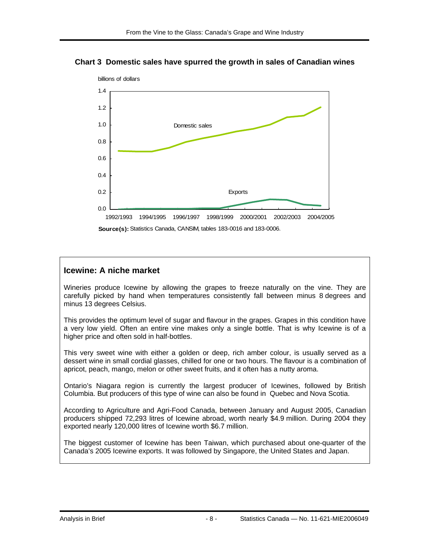



**Source(s):** Statistics Canada, CANSIM, tables 183-0016 and 183-0006.

### **Icewine: A niche market**

Wineries produce Icewine by allowing the grapes to freeze naturally on the vine. They are carefully picked by hand when temperatures consistently fall between minus 8 degrees and minus 13 degrees Celsius.

This provides the optimum level of sugar and flavour in the grapes. Grapes in this condition have a very low yield. Often an entire vine makes only a single bottle. That is why Icewine is of a higher price and often sold in half-bottles.

This very sweet wine with either a golden or deep, rich amber colour, is usually served as a dessert wine in small cordial glasses, chilled for one or two hours. The flavour is a combination of apricot, peach, mango, melon or other sweet fruits, and it often has a nutty aroma.

Ontario's Niagara region is currently the largest producer of Icewines, followed by British Columbia. But producers of this type of wine can also be found in Quebec and Nova Scotia.

According to Agriculture and Agri-Food Canada, between January and August 2005, Canadian producers shipped 72,293 litres of Icewine abroad, worth nearly \$4.9 million. During 2004 they exported nearly 120,000 litres of Icewine worth \$6.7 million.

The biggest customer of Icewine has been Taiwan, which purchased about one-quarter of the Canada's 2005 Icewine exports. It was followed by Singapore, the United States and Japan.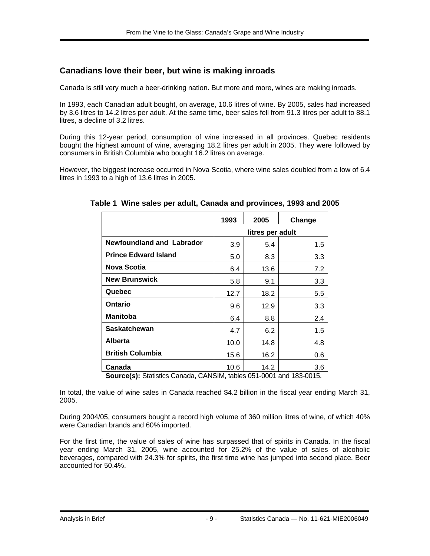## **Canadians love their beer, but wine is making inroads**

Canada is still very much a beer-drinking nation. But more and more, wines are making inroads.

In 1993, each Canadian adult bought, on average, 10.6 litres of wine. By 2005, sales had increased by 3.6 litres to 14.2 litres per adult. At the same time, beer sales fell from 91.3 litres per adult to 88.1 litres, a decline of 3.2 litres.

During this 12-year period, consumption of wine increased in all provinces. Quebec residents bought the highest amount of wine, averaging 18.2 litres per adult in 2005. They were followed by consumers in British Columbia who bought 16.2 litres on average.

However, the biggest increase occurred in Nova Scotia, where wine sales doubled from a low of 6.4 litres in 1993 to a high of 13.6 litres in 2005.

|                                  | 1993             | 2005 | Change  |
|----------------------------------|------------------|------|---------|
|                                  | litres per adult |      |         |
| <b>Newfoundland and Labrador</b> | 3.9              | 5.4  | 1.5     |
| <b>Prince Edward Island</b>      | 5.0              | 8.3  | 3.3     |
| Nova Scotia                      | 6.4              | 13.6 | 7.2     |
| <b>New Brunswick</b>             | 5.8              | 9.1  | 3.3     |
| Quebec                           | 12.7             | 18.2 | 5.5     |
| <b>Ontario</b>                   | 9.6              | 12.9 | 3.3     |
| <b>Manitoba</b>                  | 6.4              | 8.8  | 2.4     |
| <b>Saskatchewan</b>              | 4.7              | 6.2  | $1.5\,$ |
| <b>Alberta</b>                   | 10.0             | 14.8 | 4.8     |
| <b>British Columbia</b>          | 15.6             | 16.2 | 0.6     |
| Canada                           | 10.6             | 14.2 | 3.6     |

**Table 1 Wine sales per adult, Canada and provinces, 1993 and 2005** 

**Source(s):** Statistics Canada, CANSIM, tables 051-0001 and 183-0015.

In total, the value of wine sales in Canada reached \$4.2 billion in the fiscal year ending March 31, 2005.

During 2004/05, consumers bought a record high volume of 360 million litres of wine, of which 40% were Canadian brands and 60% imported.

For the first time, the value of sales of wine has surpassed that of spirits in Canada. In the fiscal year ending March 31, 2005, wine accounted for 25.2% of the value of sales of alcoholic beverages, compared with 24.3% for spirits, the first time wine has jumped into second place. Beer accounted for 50.4%.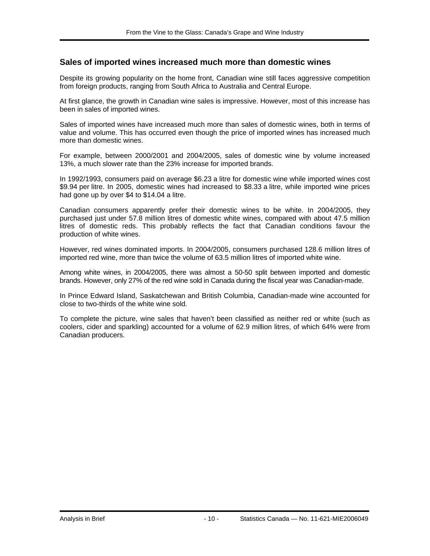#### **Sales of imported wines increased much more than domestic wines**

Despite its growing popularity on the home front, Canadian wine still faces aggressive competition from foreign products, ranging from South Africa to Australia and Central Europe.

At first glance, the growth in Canadian wine sales is impressive. However, most of this increase has been in sales of imported wines.

Sales of imported wines have increased much more than sales of domestic wines, both in terms of value and volume. This has occurred even though the price of imported wines has increased much more than domestic wines.

For example, between 2000/2001 and 2004/2005, sales of domestic wine by volume increased 13%, a much slower rate than the 23% increase for imported brands.

In 1992/1993, consumers paid on average \$6.23 a litre for domestic wine while imported wines cost \$9.94 per litre. In 2005, domestic wines had increased to \$8.33 a litre, while imported wine prices had gone up by over \$4 to \$14.04 a litre.

Canadian consumers apparently prefer their domestic wines to be white. In 2004/2005, they purchased just under 57.8 million litres of domestic white wines, compared with about 47.5 million litres of domestic reds. This probably reflects the fact that Canadian conditions favour the production of white wines.

However, red wines dominated imports. In 2004/2005, consumers purchased 128.6 million litres of imported red wine, more than twice the volume of 63.5 million litres of imported white wine.

Among white wines, in 2004/2005, there was almost a 50-50 split between imported and domestic brands. However, only 27% of the red wine sold in Canada during the fiscal year was Canadian-made.

In Prince Edward Island, Saskatchewan and British Columbia, Canadian-made wine accounted for close to two-thirds of the white wine sold.

To complete the picture, wine sales that haven't been classified as neither red or white (such as coolers, cider and sparkling) accounted for a volume of 62.9 million litres, of which 64% were from Canadian producers.